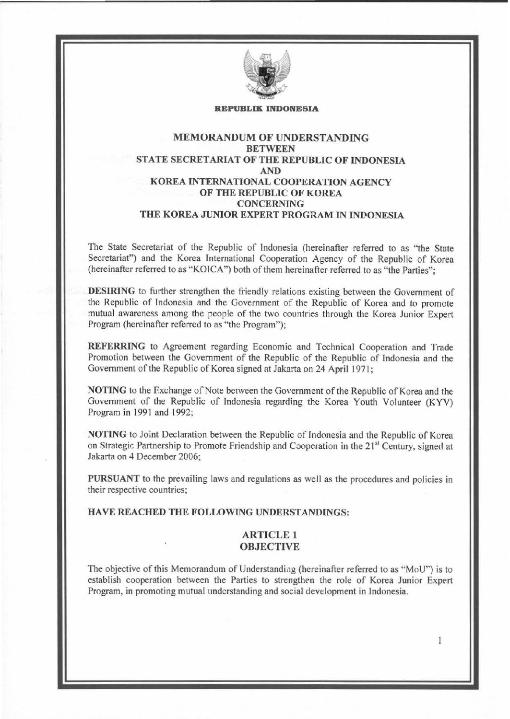

#### **REPUBLIK INDONESIA**

## MEMORANDUM OF UNDERSTANDING **BETWEEN** STATE SECRETARIAT OF THE REPUBLIC OF INDONESIA AND KOREA INTERNATIONAL COOPERATION AGENCY OF THE REPUBLIC OF KOREA CONCERNING THE KOREA JUNIOR EXPERT PROGRAM IN INDONESIA

The State Secretariat of the Republic of Indonesia (hereinafter referred to as "the State Secretariat") and the Korea International Cooperation Agency of the Republic of Korea (hereinafter referred to as "KOICA") both of them hereinafter referred to as "the Parties":

DESIRING to further strengthen the friendly relations existing between the Government of the Republic of Indonesia and the Government of the Republic of Korea and to promote mutual awareness among the people of the two countries through the Korea Junior Expert Program (hereinafter referred to as "the Program");

REFERRING to Agreement regarding Economic and Technical Cooperation and Trade Promotion between the Government of the Republic of the Republic of Indonesia and the Government of the Republic of Korea signed at Jakarta on 24 April 1971;

NOTING to the Exchange of Note between the Government of the Republic of Korea and the Government of the Republic of Indonesia regarding the Korea Youth Volunteer (KYV) Program in 1991 and 1992;

NOTING to Joint Declaration between the Republic of Indonesia and the Republic of Korea on Strategic Partnership to Promote Friendship and Cooperation in the 21<sup>st</sup> Century, signed at Jakarta on *4* December 2006;

PURSUANT to the prevailing laws and regulations as well as the procedures and policies in their respective countries;

HA VE REACHED THE FOLLOWING UNDERSTANDINGS:

## ARTICLE 1 **OBJECTIVE**

The objective of this Memorandum of Understanding (hereinafter referred to as "MoU") is to establish cooperation between the Parties to strengthen the role of Korea Junior Expert Program, in promoting mutual understanding and social development in Indonesia.

 $\mathbf{1}$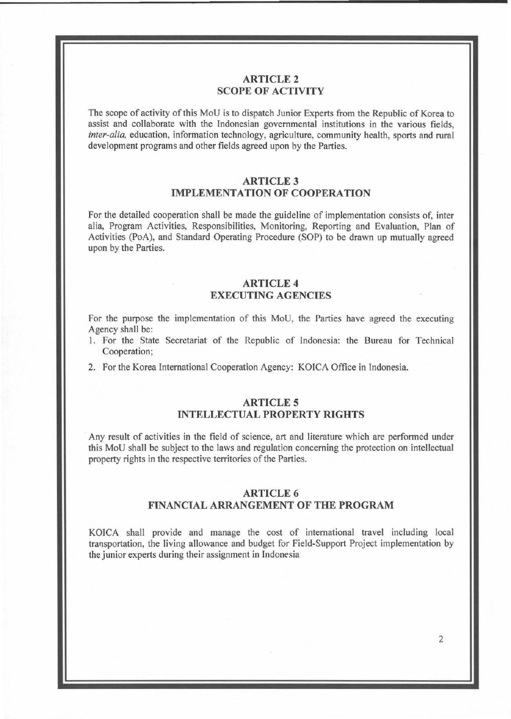## **ARTICLE2 SCOPE OF ACTIVITY**

The scope of activity of this MoU is to dispatch Junior Experts from the Republic of Korea to assist and collaborate with the Indonesian governmental institutions in the various fields, *inter-alia,* education, information technology, agriculture, community health, sports and rural development programs and other fields agreed upon by the Parties.

### **ARTICLE3 IMPLEMENTATION OF COOPERATION**

For the detailed cooperation shall be made the guideline of implementation consists of, inter alia, Program Activities, Responsibilities, Monitoring, Reporting and Evaluation, Plan of Activities (PoA), and Standard Operating Procedure (SOP) to be drawn up mutually agreed upon by the Parties.

### **ARTICLE 4 EXECUTING AGENCIES**

For the purpose the implementation of this MoU. the Parties have agreed the executing Agency shall be:

- I. For the State Secretariat of the Republic of Indonesia: the Bureau for Technical Cooperation;
- 2. For the Korea International Cooperation Agency: KOICA Office in Indonesia.

## **ARTICLES INTELLECTUAL PROPERTY RIGHTS**

Any result of activities in the field of science, art and literature which are performed under this MoU shall be subject to the laws and regulation concerning the protection on intellectual property rights in the respective territories of the Parties.

### **ARTICLE 6**

#### **FINANCIAL ARRANGEMENT OF THE PROGRAM**

KOICA shall provide and manage the cost of international travel including local transportation, the living allowance and budget for Field-Support Project implementation by the junior experts during their assignment in Indonesia